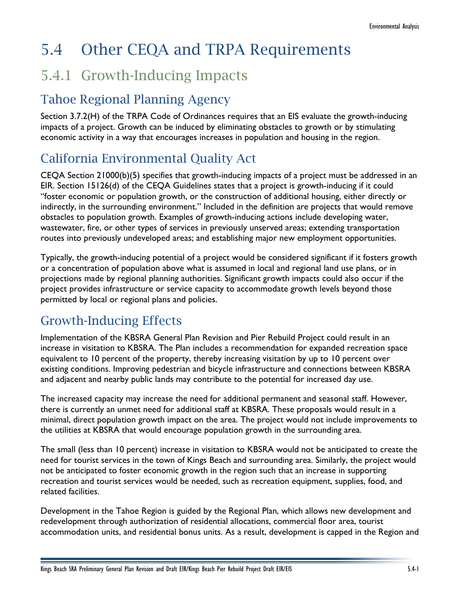# 5.4 Other CEQA and TRPA Requirements

## 5.4.1 Growth-Inducing Impacts

### Tahoe Regional Planning Agency

Section 3.7.2(H) of the TRPA Code of Ordinances requires that an EIS evaluate the growth-inducing impacts of a project. Growth can be induced by eliminating obstacles to growth or by stimulating economic activity in a way that encourages increases in population and housing in the region.

### California Environmental Quality Act

CEQA Section 21000(b)(5) specifies that growth-inducing impacts of a project must be addressed in an EIR. Section 15126(d) of the CEQA Guidelines states that a project is growth-inducing if it could "foster economic or population growth, or the construction of additional housing, either directly or indirectly, in the surrounding environment." Included in the definition are projects that would remove obstacles to population growth. Examples of growth-inducing actions include developing water, wastewater, fire, or other types of services in previously unserved areas; extending transportation routes into previously undeveloped areas; and establishing major new employment opportunities.

Typically, the growth-inducing potential of a project would be considered significant if it fosters growth or a concentration of population above what is assumed in local and regional land use plans, or in projections made by regional planning authorities. Significant growth impacts could also occur if the project provides infrastructure or service capacity to accommodate growth levels beyond those permitted by local or regional plans and policies.

## Growth-Inducing Effects

Implementation of the KBSRA General Plan Revision and Pier Rebuild Project could result in an increase in visitation to KBSRA. The Plan includes a recommendation for expanded recreation space equivalent to 10 percent of the property, thereby increasing visitation by up to 10 percent over existing conditions. Improving pedestrian and bicycle infrastructure and connections between KBSRA and adjacent and nearby public lands may contribute to the potential for increased day use.

The increased capacity may increase the need for additional permanent and seasonal staff. However, there is currently an unmet need for additional staff at KBSRA. These proposals would result in a minimal, direct population growth impact on the area. The project would not include improvements to the utilities at KBSRA that would encourage population growth in the surrounding area.

The small (less than 10 percent) increase in visitation to KBSRA would not be anticipated to create the need for tourist services in the town of Kings Beach and surrounding area. Similarly, the project would not be anticipated to foster economic growth in the region such that an increase in supporting recreation and tourist services would be needed, such as recreation equipment, supplies, food, and related facilities.

Development in the Tahoe Region is guided by the Regional Plan, which allows new development and redevelopment through authorization of residential allocations, commercial floor area, tourist accommodation units, and residential bonus units. As a result, development is capped in the Region and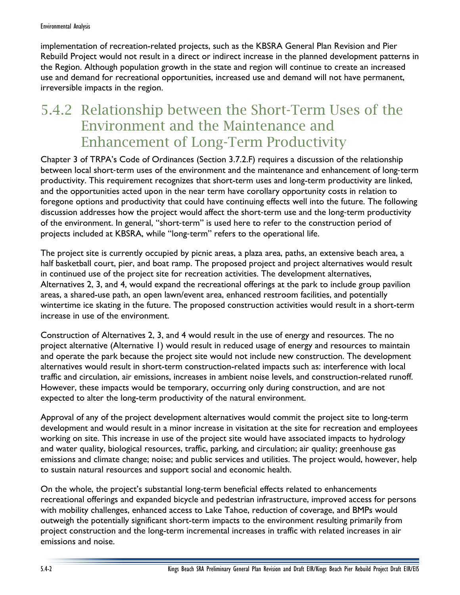implementation of recreation-related projects, such as the KBSRA General Plan Revision and Pier Rebuild Project would not result in a direct or indirect increase in the planned development patterns in the Region. Although population growth in the state and region will continue to create an increased use and demand for recreational opportunities, increased use and demand will not have permanent, irreversible impacts in the region.

## 5.4.2 Relationship between the Short-Term Uses of the Environment and the Maintenance and Enhancement of Long-Term Productivity

Chapter 3 of TRPA's Code of Ordinances (Section 3.7.2.F) requires a discussion of the relationship between local short‐term uses of the environment and the maintenance and enhancement of long‐term productivity. This requirement recognizes that short-term uses and long-term productivity are linked, and the opportunities acted upon in the near term have corollary opportunity costs in relation to foregone options and productivity that could have continuing effects well into the future. The following discussion addresses how the project would affect the short-term use and the long-term productivity of the environment. In general, "short‐term" is used here to refer to the construction period of projects included at KBSRA, while "long‐term" refers to the operational life.

The project site is currently occupied by picnic areas, a plaza area, paths, an extensive beach area, a half basketball court, pier, and boat ramp. The proposed project and project alternatives would result in continued use of the project site for recreation activities. The development alternatives, Alternatives 2, 3, and 4, would expand the recreational offerings at the park to include group pavilion areas, a shared-use path, an open lawn/event area, enhanced restroom facilities, and potentially wintertime ice skating in the future. The proposed construction activities would result in a short-term increase in use of the environment.

Construction of Alternatives 2, 3, and 4 would result in the use of energy and resources. The no project alternative (Alternative 1) would result in reduced usage of energy and resources to maintain and operate the park because the project site would not include new construction. The development alternatives would result in short-term construction-related impacts such as: interference with local traffic and circulation, air emissions, increases in ambient noise levels, and construction-related runoff. However, these impacts would be temporary, occurring only during construction, and are not expected to alter the long-term productivity of the natural environment.

Approval of any of the project development alternatives would commit the project site to long-term development and would result in a minor increase in visitation at the site for recreation and employees working on site. This increase in use of the project site would have associated impacts to hydrology and water quality, biological resources, traffic, parking, and circulation; air quality; greenhouse gas emissions and climate change; noise; and public services and utilities. The project would, however, help to sustain natural resources and support social and economic health.

On the whole, the project's substantial long-term beneficial effects related to enhancements recreational offerings and expanded bicycle and pedestrian infrastructure, improved access for persons with mobility challenges, enhanced access to Lake Tahoe, reduction of coverage, and BMPs would outweigh the potentially significant short-term impacts to the environment resulting primarily from project construction and the long-term incremental increases in traffic with related increases in air emissions and noise.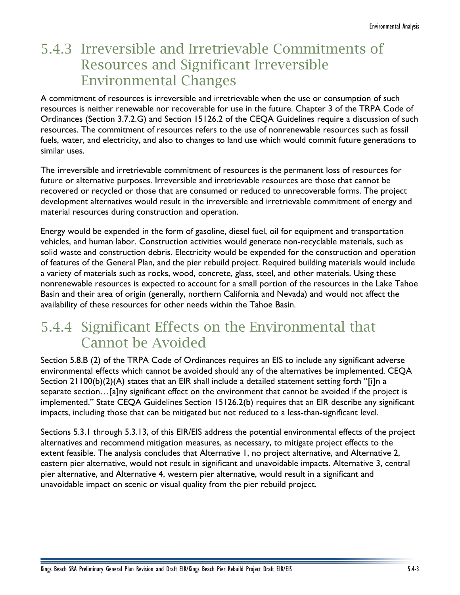## 5.4.3 Irreversible and Irretrievable Commitments of Resources and Significant Irreversible Environmental Changes

A commitment of resources is irreversible and irretrievable when the use or consumption of such resources is neither renewable nor recoverable for use in the future. Chapter 3 of the TRPA Code of Ordinances (Section 3.7.2.G) and Section 15126.2 of the CEQA Guidelines require a discussion of such resources. The commitment of resources refers to the use of nonrenewable resources such as fossil fuels, water, and electricity, and also to changes to land use which would commit future generations to similar uses.

The irreversible and irretrievable commitment of resources is the permanent loss of resources for future or alternative purposes. Irreversible and irretrievable resources are those that cannot be recovered or recycled or those that are consumed or reduced to unrecoverable forms. The project development alternatives would result in the irreversible and irretrievable commitment of energy and material resources during construction and operation.

Energy would be expended in the form of gasoline, diesel fuel, oil for equipment and transportation vehicles, and human labor. Construction activities would generate non-recyclable materials, such as solid waste and construction debris. Electricity would be expended for the construction and operation of features of the General Plan, and the pier rebuild project. Required building materials would include a variety of materials such as rocks, wood, concrete, glass, steel, and other materials. Using these nonrenewable resources is expected to account for a small portion of the resources in the Lake Tahoe Basin and their area of origin (generally, northern California and Nevada) and would not affect the availability of these resources for other needs within the Tahoe Basin.

## 5.4.4 Significant Effects on the Environmental that Cannot be Avoided

Section 5.8.B (2) of the TRPA Code of Ordinances requires an EIS to include any significant adverse environmental effects which cannot be avoided should any of the alternatives be implemented. CEQA Section 21100(b)(2)(A) states that an EIR shall include a detailed statement setting forth "[i]n a separate section…[a]ny significant effect on the environment that cannot be avoided if the project is implemented." State CEQA Guidelines Section 15126.2(b) requires that an EIR describe any significant impacts, including those that can be mitigated but not reduced to a less-than-significant level.

Sections 5.3.1 through 5.3.13, of this EIR/EIS address the potential environmental effects of the project alternatives and recommend mitigation measures, as necessary, to mitigate project effects to the extent feasible. The analysis concludes that Alternative 1, no project alternative, and Alternative 2, eastern pier alternative, would not result in significant and unavoidable impacts. Alternative 3, central pier alternative, and Alternative 4, western pier alternative, would result in a significant and unavoidable impact on scenic or visual quality from the pier rebuild project.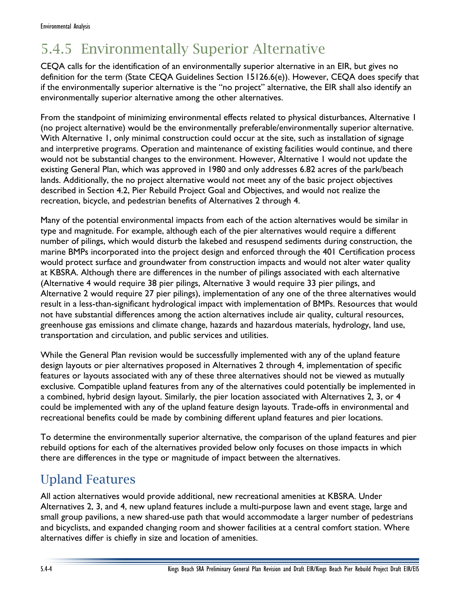# 5.4.5 Environmentally Superior Alternative

CEQA calls for the identification of an environmentally superior alternative in an EIR, but gives no definition for the term (State CEQA Guidelines Section 15126.6(e)). However, CEQA does specify that if the environmentally superior alternative is the "no project" alternative, the EIR shall also identify an environmentally superior alternative among the other alternatives.

From the standpoint of minimizing environmental effects related to physical disturbances, Alternative 1 (no project alternative) would be the environmentally preferable/environmentally superior alternative. With Alternative 1, only minimal construction could occur at the site, such as installation of signage and interpretive programs. Operation and maintenance of existing facilities would continue, and there would not be substantial changes to the environment. However, Alternative 1 would not update the existing General Plan, which was approved in 1980 and only addresses 6.82 acres of the park/beach lands. Additionally, the no project alternative would not meet any of the basic project objectives described in Section 4.2, Pier Rebuild Project Goal and Objectives, and would not realize the recreation, bicycle, and pedestrian benefits of Alternatives 2 through 4.

Many of the potential environmental impacts from each of the action alternatives would be similar in type and magnitude. For example, although each of the pier alternatives would require a different number of pilings, which would disturb the lakebed and resuspend sediments during construction, the marine BMPs incorporated into the project design and enforced through the 401 Certification process would protect surface and groundwater from construction impacts and would not alter water quality at KBSRA. Although there are differences in the number of pilings associated with each alternative (Alternative 4 would require 38 pier pilings, Alternative 3 would require 33 pier pilings, and Alternative 2 would require 27 pier pilings), implementation of any one of the three alternatives would result in a less-than-significant hydrological impact with implementation of BMPs. Resources that would not have substantial differences among the action alternatives include air quality, cultural resources, greenhouse gas emissions and climate change, hazards and hazardous materials, hydrology, land use, transportation and circulation, and public services and utilities.

While the General Plan revision would be successfully implemented with any of the upland feature design layouts or pier alternatives proposed in Alternatives 2 through 4, implementation of specific features or layouts associated with any of these three alternatives should not be viewed as mutually exclusive. Compatible upland features from any of the alternatives could potentially be implemented in a combined, hybrid design layout. Similarly, the pier location associated with Alternatives 2, 3, or 4 could be implemented with any of the upland feature design layouts. Trade-offs in environmental and recreational benefits could be made by combining different upland features and pier locations.

To determine the environmentally superior alternative, the comparison of the upland features and pier rebuild options for each of the alternatives provided below only focuses on those impacts in which there are differences in the type or magnitude of impact between the alternatives.

#### Upland Features

All action alternatives would provide additional, new recreational amenities at KBSRA. Under Alternatives 2, 3, and 4, new upland features include a multi-purpose lawn and event stage, large and small group pavilions, a new shared-use path that would accommodate a larger number of pedestrians and bicyclists, and expanded changing room and shower facilities at a central comfort station. Where alternatives differ is chiefly in size and location of amenities.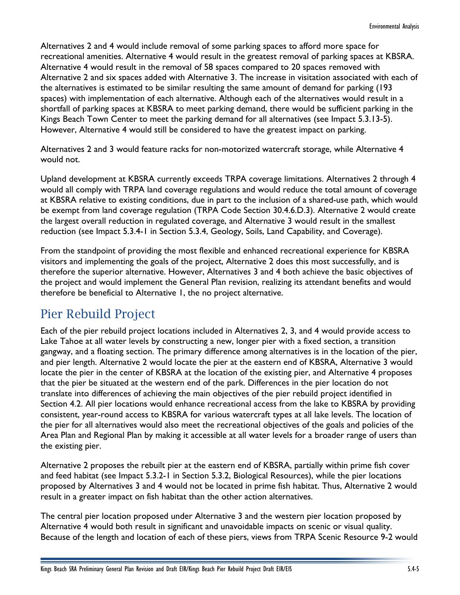Alternatives 2 and 4 would include removal of some parking spaces to afford more space for recreational amenities. Alternative 4 would result in the greatest removal of parking spaces at KBSRA. Alternative 4 would result in the removal of 58 spaces compared to 20 spaces removed with Alternative 2 and six spaces added with Alternative 3. The increase in visitation associated with each of the alternatives is estimated to be similar resulting the same amount of demand for parking (193 spaces) with implementation of each alternative. Although each of the alternatives would result in a shortfall of parking spaces at KBSRA to meet parking demand, there would be sufficient parking in the Kings Beach Town Center to meet the parking demand for all alternatives (see Impact 5.3.13-5). However, Alternative 4 would still be considered to have the greatest impact on parking.

Alternatives 2 and 3 would feature racks for non-motorized watercraft storage, while Alternative 4 would not.

Upland development at KBSRA currently exceeds TRPA coverage limitations. Alternatives 2 through 4 would all comply with TRPA land coverage regulations and would reduce the total amount of coverage at KBSRA relative to existing conditions, due in part to the inclusion of a shared-use path, which would be exempt from land coverage regulation (TRPA Code Section 30.4.6.D.3). Alternative 2 would create the largest overall reduction in regulated coverage, and Alternative 3 would result in the smallest reduction (see Impact 5.3.4-1 in Section 5.3.4, Geology, Soils, Land Capability, and Coverage).

From the standpoint of providing the most flexible and enhanced recreational experience for KBSRA visitors and implementing the goals of the project, Alternative 2 does this most successfully, and is therefore the superior alternative. However, Alternatives 3 and 4 both achieve the basic objectives of the project and would implement the General Plan revision, realizing its attendant benefits and would therefore be beneficial to Alternative 1, the no project alternative.

#### Pier Rebuild Project

Each of the pier rebuild project locations included in Alternatives 2, 3, and 4 would provide access to Lake Tahoe at all water levels by constructing a new, longer pier with a fixed section, a transition gangway, and a floating section. The primary difference among alternatives is in the location of the pier, and pier length. Alternative 2 would locate the pier at the eastern end of KBSRA, Alternative 3 would locate the pier in the center of KBSRA at the location of the existing pier, and Alternative 4 proposes that the pier be situated at the western end of the park. Differences in the pier location do not translate into differences of achieving the main objectives of the pier rebuild project identified in Section 4.2. All pier locations would enhance recreational access from the lake to KBSRA by providing consistent, year-round access to KBSRA for various watercraft types at all lake levels. The location of the pier for all alternatives would also meet the recreational objectives of the goals and policies of the Area Plan and Regional Plan by making it accessible at all water levels for a broader range of users than the existing pier.

Alternative 2 proposes the rebuilt pier at the eastern end of KBSRA, partially within prime fish cover and feed habitat (see Impact 5.3.2-1 in Section 5.3.2, Biological Resources), while the pier locations proposed by Alternatives 3 and 4 would not be located in prime fish habitat. Thus, Alternative 2 would result in a greater impact on fish habitat than the other action alternatives.

The central pier location proposed under Alternative 3 and the western pier location proposed by Alternative 4 would both result in significant and unavoidable impacts on scenic or visual quality. Because of the length and location of each of these piers, views from TRPA Scenic Resource 9-2 would